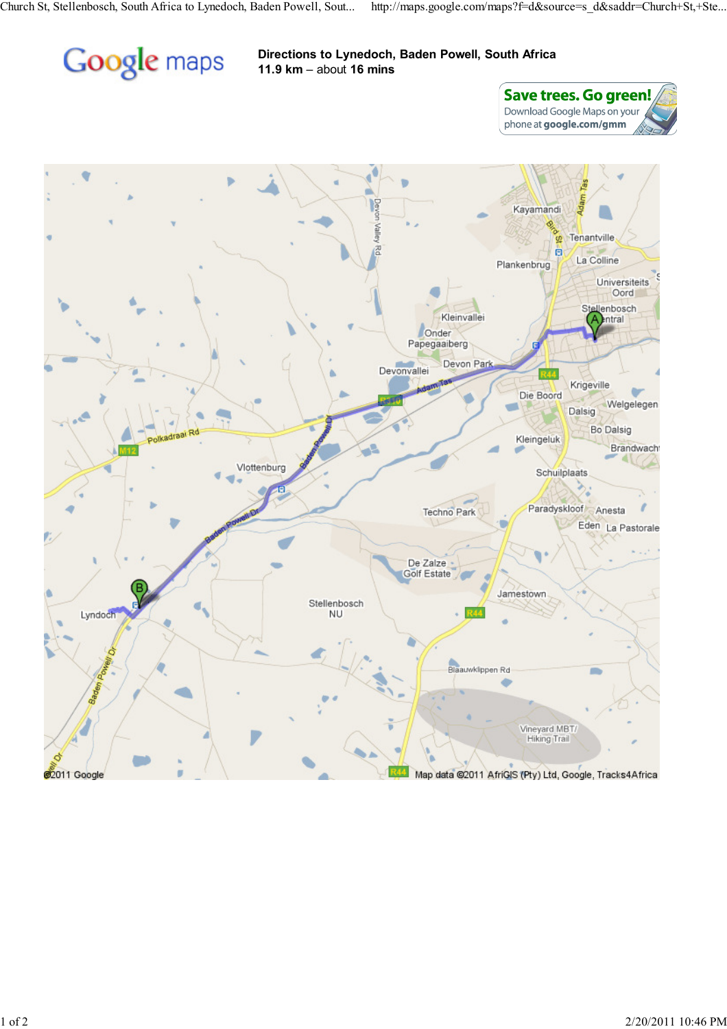

## Directions to Lynedoch, Baden Powell, South Africa 11.9 km – about 16 mins